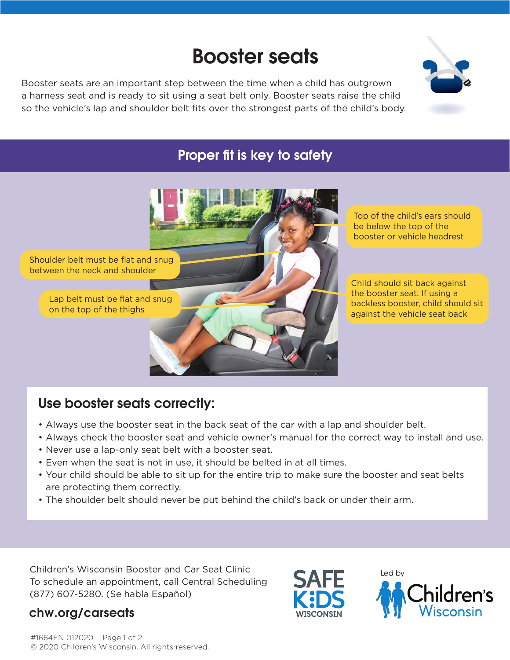# Booster seats

Booster seats are an important step between the time when a child has outgrown a harness seat and is ready to sit using a seat belt only. Booster seats raise the child so the vehicle's lap and shoulder belt fits over the strongest parts of the child's body.



## Proper fit is key to safety



## Use booster seats correctly:

- Always use the booster seat in the back seat of the car with a lap and shoulder belt.
- Always check the booster seat and vehicle owner's manual for the correct way to install and use.
- Never use a lap-only seat belt with a booster seat.
- Even when the seat is not in use, it should be belted in at all times.
- Your child should be able to sit up for the entire trip to make sure the booster and seat belts are protecting them correctly.
- The shoulder belt should never be put behind the child's back or under their arm.

Children's Wisconsin Booster and Car Seat Clinic To schedule an appointment, call Central Scheduling (877) 607-5280. (Se habla Español)

### chw.org/carseats





#1664EN 012020 Page 1 of 2 © 2020 Children's Wisconsin. All rights reserved.